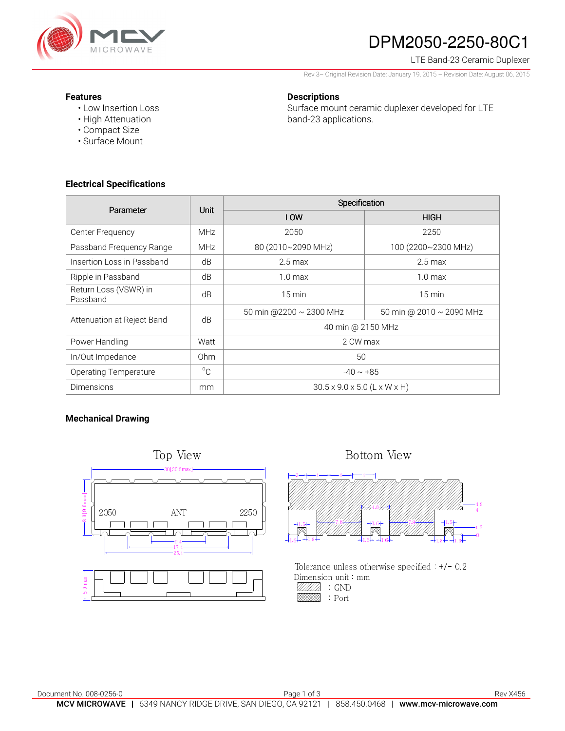

# DPM2050-2250-80C1

### LTE Band-23 Ceramic Duplexer

Rev 3– Original Revision Date: January 19, 2015 – Revision Date: August 06, 2015

#### **Features**

• Low Insertion Loss • High Attenuation

## **Descriptions**

Surface mount ceramic duplexer developed for LTE band-23 applications.

**Electrical Specifications** 

• Compact Size • Surface Mount

| Parameter                         | Unit         | Specification                            |                          |
|-----------------------------------|--------------|------------------------------------------|--------------------------|
|                                   |              | LOW                                      | <b>HIGH</b>              |
| Center Frequency                  | <b>MHz</b>   | 2050                                     | 2250                     |
| Passband Frequency Range          | <b>MHz</b>   | 80 (2010~2090 MHz)                       | 100 (2200~2300 MHz)      |
| Insertion Loss in Passband        | dB           | $2.5$ max                                | $2.5 \,\mathrm{max}$     |
| Ripple in Passband                | dB           | $1.0 \text{ max}$                        | 1.0 <sub>max</sub>       |
| Return Loss (VSWR) in<br>Passband | dB           | $15 \,\mathrm{min}$                      | $15 \text{ min}$         |
| Attenuation at Reject Band        | dB           | 50 min @2200 ~ 2300 MHz                  | 50 min @ 2010 ~ 2090 MHz |
|                                   |              | 40 min @ 2150 MHz                        |                          |
| Power Handling                    | Watt         | 2 CW max                                 |                          |
| In/Out Impedance                  | Ohm          | 50                                       |                          |
| <b>Operating Temperature</b>      | $^{\circ}$ C | $-40 \sim +85$                           |                          |
| Dimensions                        | mm           | $30.5 \times 9.0 \times 5.0$ (L x W x H) |                          |

## **Mechanical Drawing**





Tolerance unless otherwise specified  $+/-0.2$ Dimension unit : mm  $\mathbb{Z}/\mathbb{Z}/\mathbb{Z}$  : GND : Port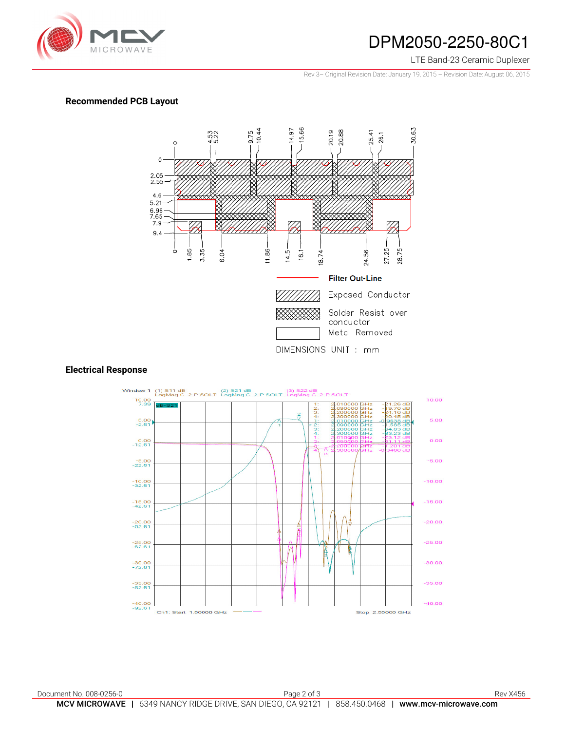

## DPM2050-2250-80C1

#### LTE Band-23 Ceramic Duplexer

Rev 3– Original Revision Date: January 19, 2015 – Revision Date: August 06, 2015

## **Recommended PCB Layout**



#### **Electrical Response**